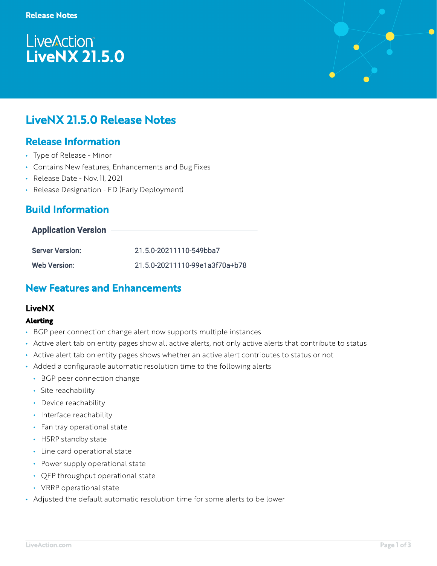# **LiveAction®** LiveNX 21.5.0



## Release Information

- Type of Release Minor
- Contains New features, Enhancements and Bug Fixes
- Release Date Nov. 11, 2021
- Release Designation ED (Early Deployment)

## Build Information

#### **Application Version**

| <b>Server Version:</b> | 21.5.0-20211110-549bba7        |
|------------------------|--------------------------------|
| <b>Web Version:</b>    | 21.5.0-20211110-99e1a3f70a+b78 |

### New Features and Enhancements

### LiveNX

#### **Alerting**

- BGP peer connection change alert now supports multiple instances
- Active alert tab on entity pages show all active alerts, not only active alerts that contribute to status
- Active alert tab on entity pages shows whether an active alert contributes to status or not
- Added a configurable automatic resolution time to the following alerts
	- BGP peer connection change
	- Site reachability
	- Device reachability
	- Interface reachability
	- Fan tray operational state
	- HSRP standby state
	- Line card operational state
	- Power supply operational state
	- QFP throughput operational state
	- VRRP operational state
- Adjusted the default automatic resolution time for some alerts to be lower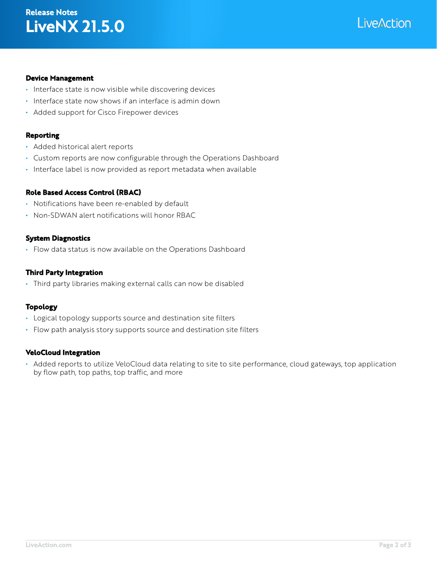## LiveNX 21.5.0 Release Notes



#### **Device Management**

- Interface state is now visible while discovering devices
- Interface state now shows if an interface is admin down
- Added support for Cisco Firepower devices

#### **Reporting**

- Added historical alert reports
- Custom reports are now configurable through the Operations Dashboard
- Interface label is now provided as report metadata when available

#### **Role Based Access Control (RBAC)**

- Notifications have been re-enabled by default
- Non-SDWAN alert notifications will honor RBAC

#### **System Diagnostics**

• Flow data status is now available on the Operations Dashboard

#### **Third Party Integration**

• Third party libraries making external calls can now be disabled

#### **Topology**

- Logical topology supports source and destination site filters
- Flow path analysis story supports source and destination site filters

#### **VeloCloud Integration**

• Added reports to utilize VeloCloud data relating to site to site performance, cloud gateways, top application by flow path, top paths, top traffic, and more